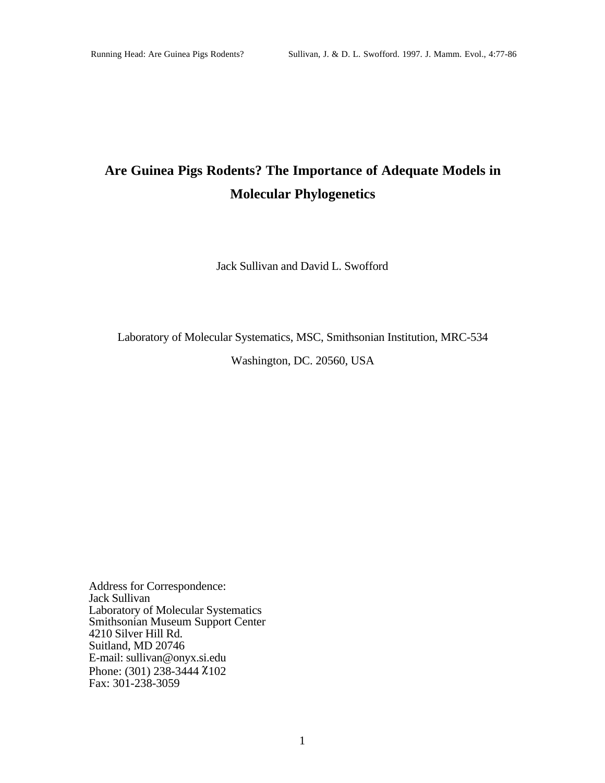# **Are Guinea Pigs Rodents? The Importance of Adequate Models in Molecular Phylogenetics**

Jack Sullivan and David L. Swofford

Laboratory of Molecular Systematics, MSC, Smithsonian Institution, MRC-534

Washington, DC. 20560, USA

Address for Correspondence: Jack Sullivan Laboratory of Molecular Systematics Smithsonian Museum Support Center 4210 Silver Hill Rd. Suitland, MD 20746 E-mail: sullivan@onyx.si.edu Phone: (301) 238-3444 χ102 Fax: 301-238-3059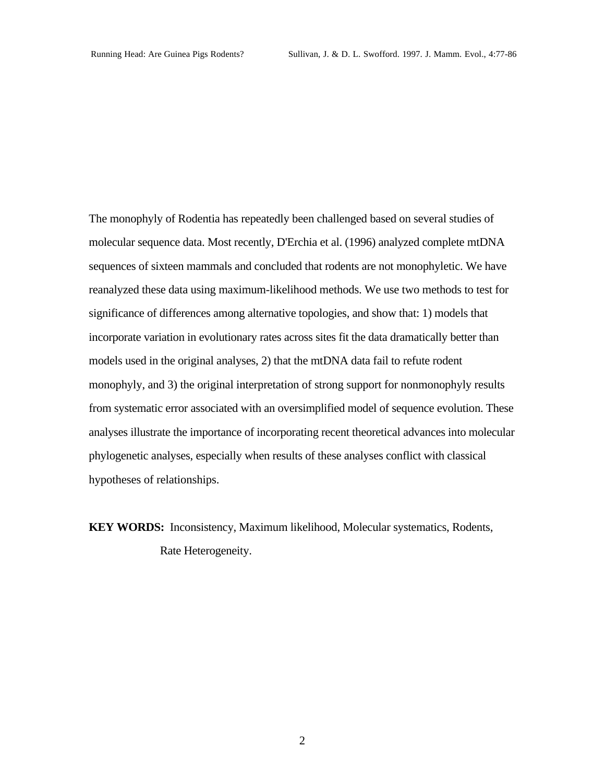The monophyly of Rodentia has repeatedly been challenged based on several studies of molecular sequence data. Most recently, D'Erchia et al. (1996) analyzed complete mtDNA sequences of sixteen mammals and concluded that rodents are not monophyletic. We have reanalyzed these data using maximum-likelihood methods. We use two methods to test for significance of differences among alternative topologies, and show that: 1) models that incorporate variation in evolutionary rates across sites fit the data dramatically better than models used in the original analyses, 2) that the mtDNA data fail to refute rodent monophyly, and 3) the original interpretation of strong support for nonmonophyly results from systematic error associated with an oversimplified model of sequence evolution. These analyses illustrate the importance of incorporating recent theoretical advances into molecular phylogenetic analyses, especially when results of these analyses conflict with classical hypotheses of relationships.

**KEY WORDS:** Inconsistency, Maximum likelihood, Molecular systematics, Rodents, Rate Heterogeneity.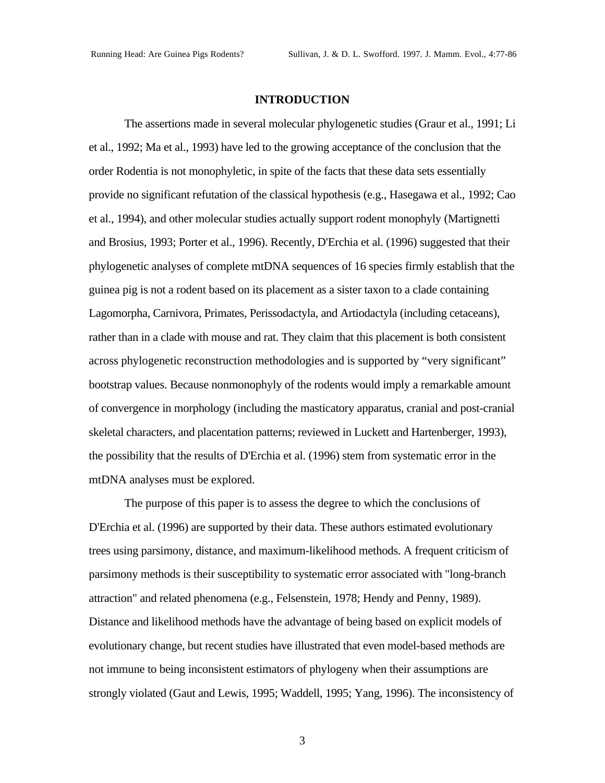#### **INTRODUCTION**

The assertions made in several molecular phylogenetic studies (Graur et al., 1991; Li et al., 1992; Ma et al., 1993) have led to the growing acceptance of the conclusion that the order Rodentia is not monophyletic, in spite of the facts that these data sets essentially provide no significant refutation of the classical hypothesis (e.g., Hasegawa et al., 1992; Cao et al., 1994), and other molecular studies actually support rodent monophyly (Martignetti and Brosius, 1993; Porter et al., 1996). Recently, D'Erchia et al. (1996) suggested that their phylogenetic analyses of complete mtDNA sequences of 16 species firmly establish that the guinea pig is not a rodent based on its placement as a sister taxon to a clade containing Lagomorpha, Carnivora, Primates, Perissodactyla, and Artiodactyla (including cetaceans), rather than in a clade with mouse and rat. They claim that this placement is both consistent across phylogenetic reconstruction methodologies and is supported by "very significant" bootstrap values. Because nonmonophyly of the rodents would imply a remarkable amount of convergence in morphology (including the masticatory apparatus, cranial and post-cranial skeletal characters, and placentation patterns; reviewed in Luckett and Hartenberger, 1993), the possibility that the results of D'Erchia et al. (1996) stem from systematic error in the mtDNA analyses must be explored.

The purpose of this paper is to assess the degree to which the conclusions of D'Erchia et al. (1996) are supported by their data. These authors estimated evolutionary trees using parsimony, distance, and maximum-likelihood methods. A frequent criticism of parsimony methods is their susceptibility to systematic error associated with "long-branch attraction" and related phenomena (e.g., Felsenstein, 1978; Hendy and Penny, 1989). Distance and likelihood methods have the advantage of being based on explicit models of evolutionary change, but recent studies have illustrated that even model-based methods are not immune to being inconsistent estimators of phylogeny when their assumptions are strongly violated (Gaut and Lewis, 1995; Waddell, 1995; Yang, 1996). The inconsistency of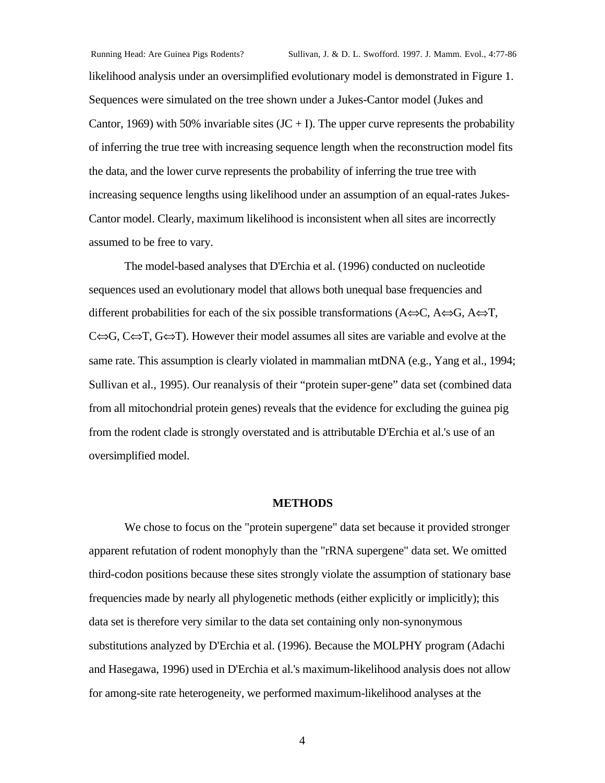likelihood analysis under an oversimplified evolutionary model is demonstrated in Figure 1. Sequences were simulated on the tree shown under a Jukes-Cantor model (Jukes and Cantor, 1969) with 50% invariable sites  $(JC + I)$ . The upper curve represents the probability of inferring the true tree with increasing sequence length when the reconstruction model fits the data, and the lower curve represents the probability of inferring the true tree with increasing sequence lengths using likelihood under an assumption of an equal-rates Jukes-Cantor model. Clearly, maximum likelihood is inconsistent when all sites are incorrectly assumed to be free to vary.

The model-based analyses that D'Erchia et al. (1996) conducted on nucleotide sequences used an evolutionary model that allows both unequal base frequencies and different probabilities for each of the six possible transformations (A⇔C, A⇔G, A⇔Τ, C⇔G, C⇔T, G⇔T). However their model assumes all sites are variable and evolve at the same rate. This assumption is clearly violated in mammalian mtDNA (e.g., Yang et al., 1994; Sullivan et al., 1995). Our reanalysis of their "protein super-gene" data set (combined data from all mitochondrial protein genes) reveals that the evidence for excluding the guinea pig from the rodent clade is strongly overstated and is attributable D'Erchia et al.'s use of an oversimplified model.

#### **METHODS**

We chose to focus on the "protein supergene" data set because it provided stronger apparent refutation of rodent monophyly than the "rRNA supergene" data set. We omitted third-codon positions because these sites strongly violate the assumption of stationary base frequencies made by nearly all phylogenetic methods (either explicitly or implicitly); this data set is therefore very similar to the data set containing only non-synonymous substitutions analyzed by D'Erchia et al. (1996). Because the MOLPHY program (Adachi and Hasegawa, 1996) used in D'Erchia et al.'s maximum-likelihood analysis does not allow for among-site rate heterogeneity, we performed maximum-likelihood analyses at the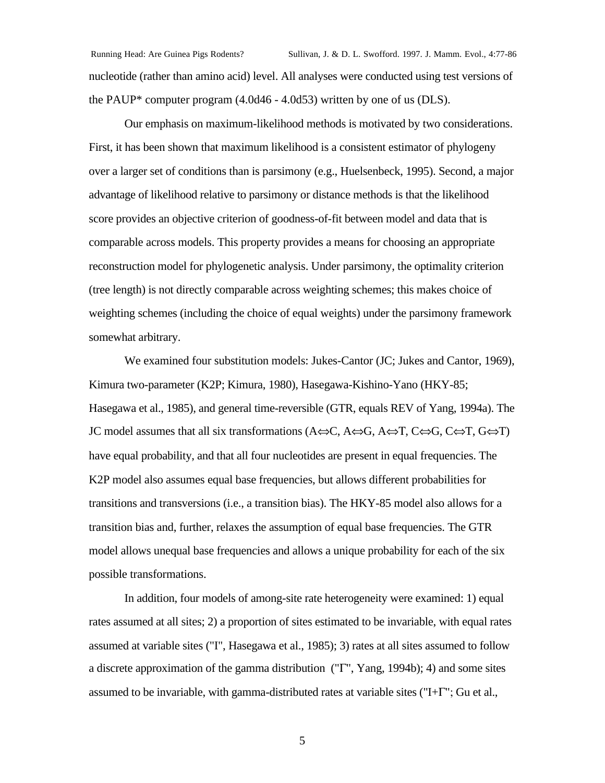Running Head: Are Guinea Pigs Rodents? Sullivan, J. & D. L. Swofford. 1997. J. Mamm. Evol., 4:77-86 nucleotide (rather than amino acid) level. All analyses were conducted using test versions of the PAUP\* computer program (4.0d46 - 4.0d53) written by one of us (DLS).

Our emphasis on maximum-likelihood methods is motivated by two considerations. First, it has been shown that maximum likelihood is a consistent estimator of phylogeny over a larger set of conditions than is parsimony (e.g., Huelsenbeck, 1995). Second, a major advantage of likelihood relative to parsimony or distance methods is that the likelihood score provides an objective criterion of goodness-of-fit between model and data that is comparable across models. This property provides a means for choosing an appropriate reconstruction model for phylogenetic analysis. Under parsimony, the optimality criterion (tree length) is not directly comparable across weighting schemes; this makes choice of weighting schemes (including the choice of equal weights) under the parsimony framework somewhat arbitrary.

We examined four substitution models: Jukes-Cantor (JC; Jukes and Cantor, 1969), Kimura two-parameter (K2P; Kimura, 1980), Hasegawa-Kishino-Yano (HKY-85; Hasegawa et al., 1985), and general time-reversible (GTR, equals REV of Yang, 1994a). The JC model assumes that all six transformations (A⇔C, A⇔G, A⇔Τ, C⇔G, C⇔T, G⇔T) have equal probability, and that all four nucleotides are present in equal frequencies. The K2P model also assumes equal base frequencies, but allows different probabilities for transitions and transversions (i.e., a transition bias). The HKY-85 model also allows for a transition bias and, further, relaxes the assumption of equal base frequencies. The GTR model allows unequal base frequencies and allows a unique probability for each of the six possible transformations.

In addition, four models of among-site rate heterogeneity were examined: 1) equal rates assumed at all sites; 2) a proportion of sites estimated to be invariable, with equal rates assumed at variable sites ("I", Hasegawa et al., 1985); 3) rates at all sites assumed to follow a discrete approximation of the gamma distribution ("Γ", Yang, 1994b); 4) and some sites assumed to be invariable, with gamma-distributed rates at variable sites ("I+Γ"; Gu et al.,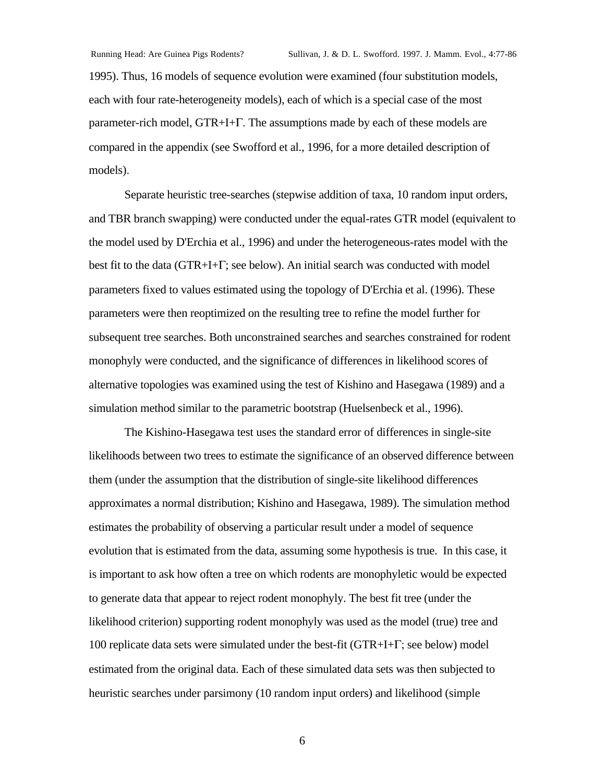1995). Thus, 16 models of sequence evolution were examined (four substitution models, each with four rate-heterogeneity models), each of which is a special case of the most parameter-rich model, GTR+I+Γ. The assumptions made by each of these models are compared in the appendix (see Swofford et al., 1996, for a more detailed description of models).

Separate heuristic tree-searches (stepwise addition of taxa, 10 random input orders, and TBR branch swapping) were conducted under the equal-rates GTR model (equivalent to the model used by D'Erchia et al., 1996) and under the heterogeneous-rates model with the best fit to the data (GTR+I+Γ; see below). An initial search was conducted with model parameters fixed to values estimated using the topology of D'Erchia et al. (1996). These parameters were then reoptimized on the resulting tree to refine the model further for subsequent tree searches. Both unconstrained searches and searches constrained for rodent monophyly were conducted, and the significance of differences in likelihood scores of alternative topologies was examined using the test of Kishino and Hasegawa (1989) and a simulation method similar to the parametric bootstrap (Huelsenbeck et al., 1996).

The Kishino-Hasegawa test uses the standard error of differences in single-site likelihoods between two trees to estimate the significance of an observed difference between them (under the assumption that the distribution of single-site likelihood differences approximates a normal distribution; Kishino and Hasegawa, 1989). The simulation method estimates the probability of observing a particular result under a model of sequence evolution that is estimated from the data, assuming some hypothesis is true. In this case, it is important to ask how often a tree on which rodents are monophyletic would be expected to generate data that appear to reject rodent monophyly. The best fit tree (under the likelihood criterion) supporting rodent monophyly was used as the model (true) tree and 100 replicate data sets were simulated under the best-fit (GTR+I+Γ; see below) model estimated from the original data. Each of these simulated data sets was then subjected to heuristic searches under parsimony (10 random input orders) and likelihood (simple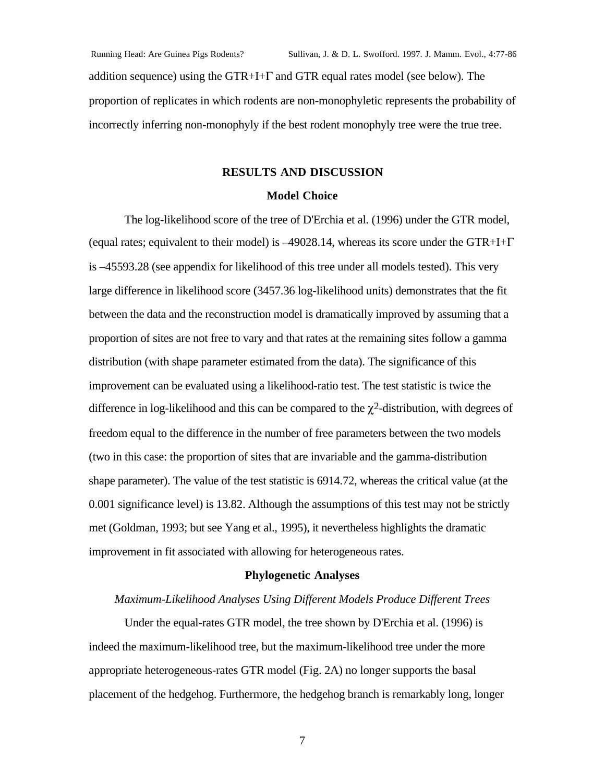addition sequence) using the GTR+I+Γ and GTR equal rates model (see below). The proportion of replicates in which rodents are non-monophyletic represents the probability of incorrectly inferring non-monophyly if the best rodent monophyly tree were the true tree.

#### **RESULTS AND DISCUSSION**

#### **Model Choice**

The log-likelihood score of the tree of D'Erchia et al. (1996) under the GTR model, (equal rates; equivalent to their model) is  $-49028.14$ , whereas its score under the GTR+I+Γ is –45593.28 (see appendix for likelihood of this tree under all models tested). This very large difference in likelihood score (3457.36 log-likelihood units) demonstrates that the fit between the data and the reconstruction model is dramatically improved by assuming that a proportion of sites are not free to vary and that rates at the remaining sites follow a gamma distribution (with shape parameter estimated from the data). The significance of this improvement can be evaluated using a likelihood-ratio test. The test statistic is twice the difference in log-likelihood and this can be compared to the  $\chi^2$ -distribution, with degrees of freedom equal to the difference in the number of free parameters between the two models (two in this case: the proportion of sites that are invariable and the gamma-distribution shape parameter). The value of the test statistic is 6914.72, whereas the critical value (at the 0.001 significance level) is 13.82. Although the assumptions of this test may not be strictly met (Goldman, 1993; but see Yang et al., 1995), it nevertheless highlights the dramatic improvement in fit associated with allowing for heterogeneous rates.

#### **Phylogenetic Analyses**

#### *Maximum-Likelihood Analyses Using Different Models Produce Different Trees*

Under the equal-rates GTR model, the tree shown by D'Erchia et al. (1996) is indeed the maximum-likelihood tree, but the maximum-likelihood tree under the more appropriate heterogeneous-rates GTR model (Fig. 2A) no longer supports the basal placement of the hedgehog. Furthermore, the hedgehog branch is remarkably long, longer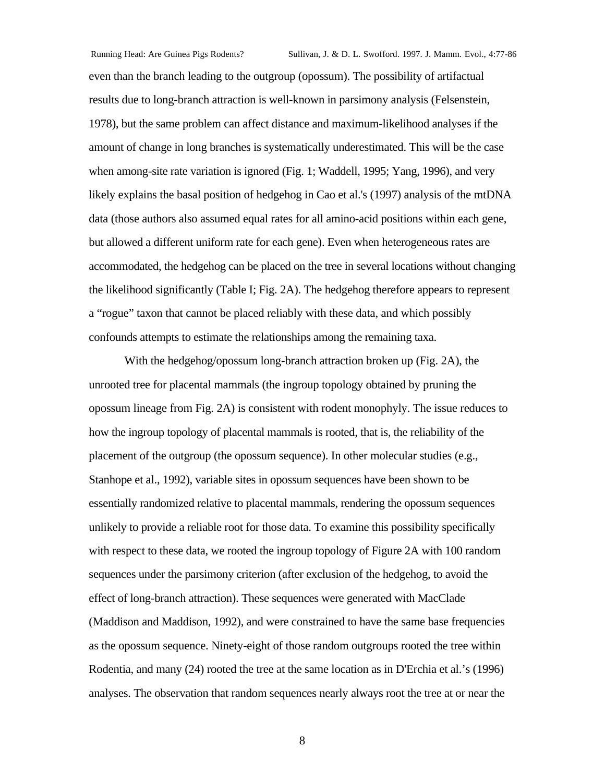even than the branch leading to the outgroup (opossum). The possibility of artifactual results due to long-branch attraction is well-known in parsimony analysis (Felsenstein, 1978), but the same problem can affect distance and maximum-likelihood analyses if the amount of change in long branches is systematically underestimated. This will be the case when among-site rate variation is ignored (Fig. 1; Waddell, 1995; Yang, 1996), and very likely explains the basal position of hedgehog in Cao et al.'s (1997) analysis of the mtDNA data (those authors also assumed equal rates for all amino-acid positions within each gene, but allowed a different uniform rate for each gene). Even when heterogeneous rates are accommodated, the hedgehog can be placed on the tree in several locations without changing the likelihood significantly (Table I; Fig. 2A). The hedgehog therefore appears to represent a "rogue" taxon that cannot be placed reliably with these data, and which possibly confounds attempts to estimate the relationships among the remaining taxa.

With the hedgehog/opossum long-branch attraction broken up (Fig. 2A), the unrooted tree for placental mammals (the ingroup topology obtained by pruning the opossum lineage from Fig. 2A) is consistent with rodent monophyly. The issue reduces to how the ingroup topology of placental mammals is rooted, that is, the reliability of the placement of the outgroup (the opossum sequence). In other molecular studies (e.g., Stanhope et al., 1992), variable sites in opossum sequences have been shown to be essentially randomized relative to placental mammals, rendering the opossum sequences unlikely to provide a reliable root for those data. To examine this possibility specifically with respect to these data, we rooted the ingroup topology of Figure 2A with 100 random sequences under the parsimony criterion (after exclusion of the hedgehog, to avoid the effect of long-branch attraction). These sequences were generated with MacClade (Maddison and Maddison, 1992), and were constrained to have the same base frequencies as the opossum sequence. Ninety-eight of those random outgroups rooted the tree within Rodentia, and many (24) rooted the tree at the same location as in D'Erchia et al.'s (1996) analyses. The observation that random sequences nearly always root the tree at or near the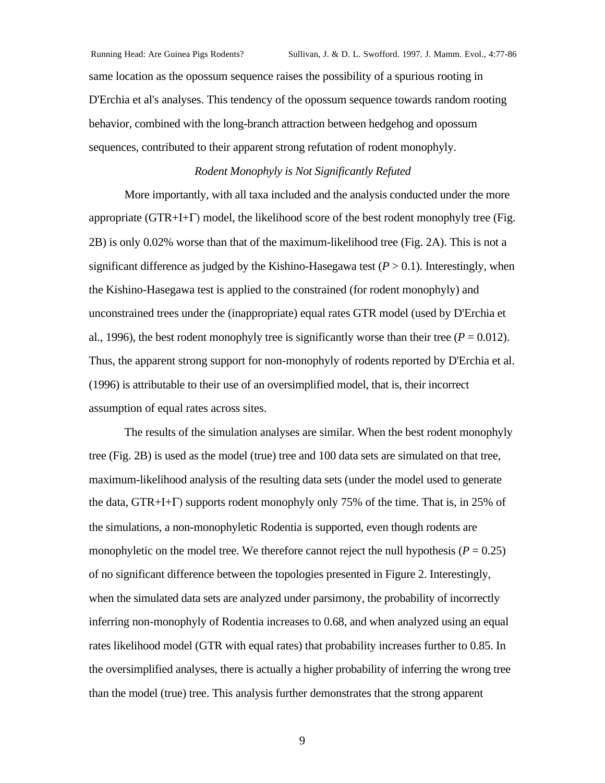same location as the opossum sequence raises the possibility of a spurious rooting in D'Erchia et al's analyses. This tendency of the opossum sequence towards random rooting behavior, combined with the long-branch attraction between hedgehog and opossum sequences, contributed to their apparent strong refutation of rodent monophyly.

### *Rodent Monophyly is Not Significantly Refuted*

More importantly, with all taxa included and the analysis conducted under the more appropriate (GTR+I+Γ) model, the likelihood score of the best rodent monophyly tree (Fig. 2B) is only 0.02% worse than that of the maximum-likelihood tree (Fig. 2A). This is not a significant difference as judged by the Kishino-Hasegawa test  $(P > 0.1)$ . Interestingly, when the Kishino-Hasegawa test is applied to the constrained (for rodent monophyly) and unconstrained trees under the (inappropriate) equal rates GTR model (used by D'Erchia et al., 1996), the best rodent monophyly tree is significantly worse than their tree ( $P = 0.012$ ). Thus, the apparent strong support for non-monophyly of rodents reported by D'Erchia et al. (1996) is attributable to their use of an oversimplified model, that is, their incorrect assumption of equal rates across sites.

The results of the simulation analyses are similar. When the best rodent monophyly tree (Fig. 2B) is used as the model (true) tree and 100 data sets are simulated on that tree, maximum-likelihood analysis of the resulting data sets (under the model used to generate the data, GTR+I+Γ) supports rodent monophyly only 75% of the time. That is, in 25% of the simulations, a non-monophyletic Rodentia is supported, even though rodents are monophyletic on the model tree. We therefore cannot reject the null hypothesis ( $P = 0.25$ ) of no significant difference between the topologies presented in Figure 2. Interestingly, when the simulated data sets are analyzed under parsimony, the probability of incorrectly inferring non-monophyly of Rodentia increases to 0.68, and when analyzed using an equal rates likelihood model (GTR with equal rates) that probability increases further to 0.85. In the oversimplified analyses, there is actually a higher probability of inferring the wrong tree than the model (true) tree. This analysis further demonstrates that the strong apparent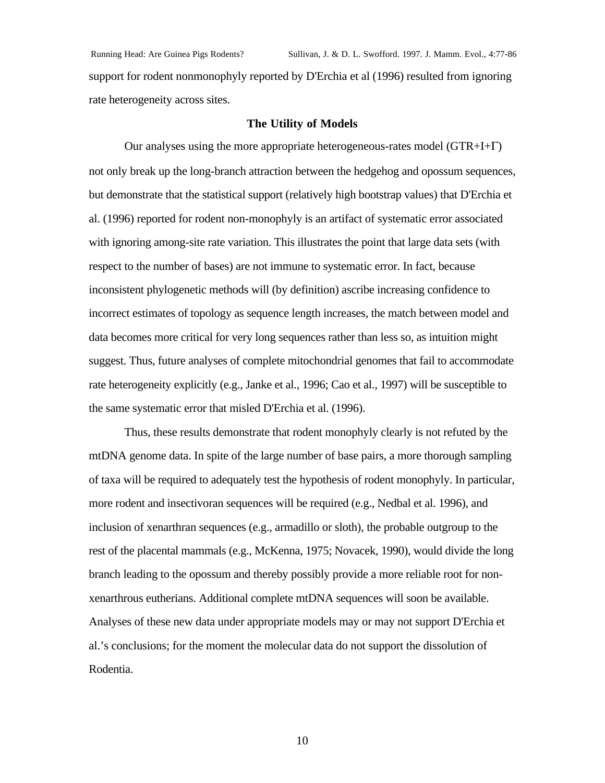Running Head: Are Guinea Pigs Rodents? Sullivan, J. & D. L. Swofford. 1997. J. Mamm. Evol., 4:77-86 support for rodent nonmonophyly reported by D'Erchia et al (1996) resulted from ignoring rate heterogeneity across sites.

#### **The Utility of Models**

Our analyses using the more appropriate heterogeneous-rates model (GTR+I+Γ) not only break up the long-branch attraction between the hedgehog and opossum sequences, but demonstrate that the statistical support (relatively high bootstrap values) that D'Erchia et al. (1996) reported for rodent non-monophyly is an artifact of systematic error associated with ignoring among-site rate variation. This illustrates the point that large data sets (with respect to the number of bases) are not immune to systematic error. In fact, because inconsistent phylogenetic methods will (by definition) ascribe increasing confidence to incorrect estimates of topology as sequence length increases, the match between model and data becomes more critical for very long sequences rather than less so, as intuition might suggest. Thus, future analyses of complete mitochondrial genomes that fail to accommodate rate heterogeneity explicitly (e.g., Janke et al., 1996; Cao et al., 1997) will be susceptible to the same systematic error that misled D'Erchia et al. (1996).

Thus, these results demonstrate that rodent monophyly clearly is not refuted by the mtDNA genome data. In spite of the large number of base pairs, a more thorough sampling of taxa will be required to adequately test the hypothesis of rodent monophyly. In particular, more rodent and insectivoran sequences will be required (e.g., Nedbal et al. 1996), and inclusion of xenarthran sequences (e.g., armadillo or sloth), the probable outgroup to the rest of the placental mammals (e.g., McKenna, 1975; Novacek, 1990), would divide the long branch leading to the opossum and thereby possibly provide a more reliable root for nonxenarthrous eutherians. Additional complete mtDNA sequences will soon be available. Analyses of these new data under appropriate models may or may not support D'Erchia et al.'s conclusions; for the moment the molecular data do not support the dissolution of Rodentia.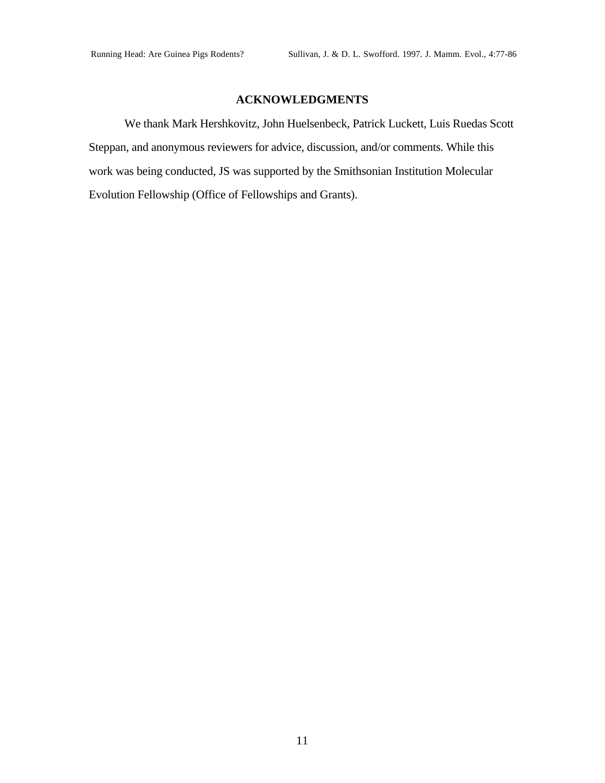## **ACKNOWLEDGMENTS**

We thank Mark Hershkovitz, John Huelsenbeck, Patrick Luckett, Luis Ruedas Scott Steppan, and anonymous reviewers for advice, discussion, and/or comments. While this work was being conducted, JS was supported by the Smithsonian Institution Molecular Evolution Fellowship (Office of Fellowships and Grants).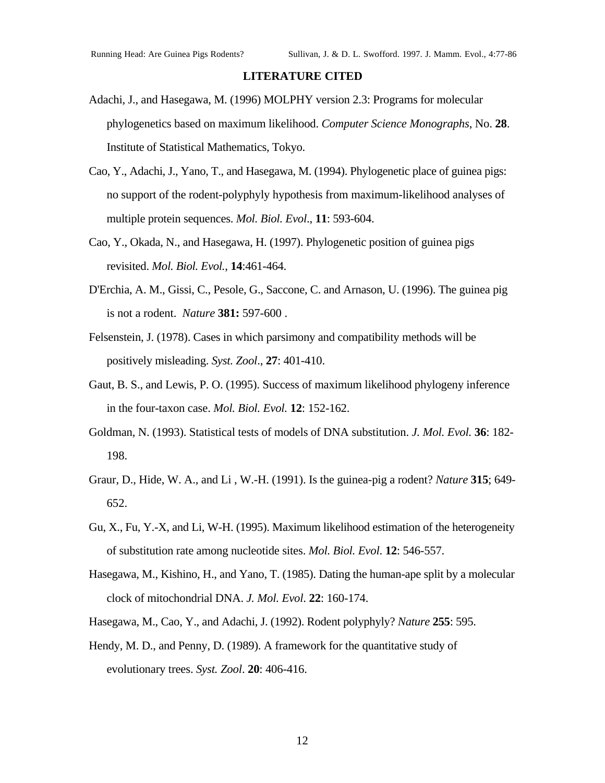#### **LITERATURE CITED**

- Adachi, J., and Hasegawa, M. (1996) MOLPHY version 2.3: Programs for molecular phylogenetics based on maximum likelihood. *Computer Science Monographs*, No. **28**. Institute of Statistical Mathematics, Tokyo.
- Cao, Y., Adachi, J., Yano, T., and Hasegawa, M. (1994). Phylogenetic place of guinea pigs: no support of the rodent-polyphyly hypothesis from maximum-likelihood analyses of multiple protein sequences. *Mol. Biol. Evol*., **11**: 593-604.
- Cao, Y., Okada, N., and Hasegawa, H. (1997). Phylogenetic position of guinea pigs revisited. *Mol. Biol. Evol.*, **14**:461-464.
- D'Erchia, A. M., Gissi, C., Pesole, G., Saccone, C. and Arnason, U. (1996). The guinea pig is not a rodent. *Nature* **381:** 597-600 .
- Felsenstein, J. (1978). Cases in which parsimony and compatibility methods will be positively misleading. *Syst. Zool*., **27**: 401-410.
- Gaut, B. S., and Lewis, P. O. (1995). Success of maximum likelihood phylogeny inference in the four-taxon case. *Mol. Biol. Evol.* **12**: 152-162.
- Goldman, N. (1993). Statistical tests of models of DNA substitution. *J. Mol. Evol.* **36**: 182- 198.
- Graur, D., Hide, W. A., and Li , W.-H. (1991). Is the guinea-pig a rodent? *Nature* **315**; 649- 652.
- Gu, X., Fu, Y.-X, and Li, W-H. (1995). Maximum likelihood estimation of the heterogeneity of substitution rate among nucleotide sites. *Mol. Biol. Evol*. **12**: 546-557.
- Hasegawa, M., Kishino, H., and Yano, T. (1985). Dating the human-ape split by a molecular clock of mitochondrial DNA. *J. Mol. Evol*. **22**: 160-174.
- Hasegawa, M., Cao, Y., and Adachi, J. (1992). Rodent polyphyly? *Nature* **255**: 595.
- Hendy, M. D., and Penny, D. (1989). A framework for the quantitative study of evolutionary trees. *Syst. Zool*. **20**: 406-416.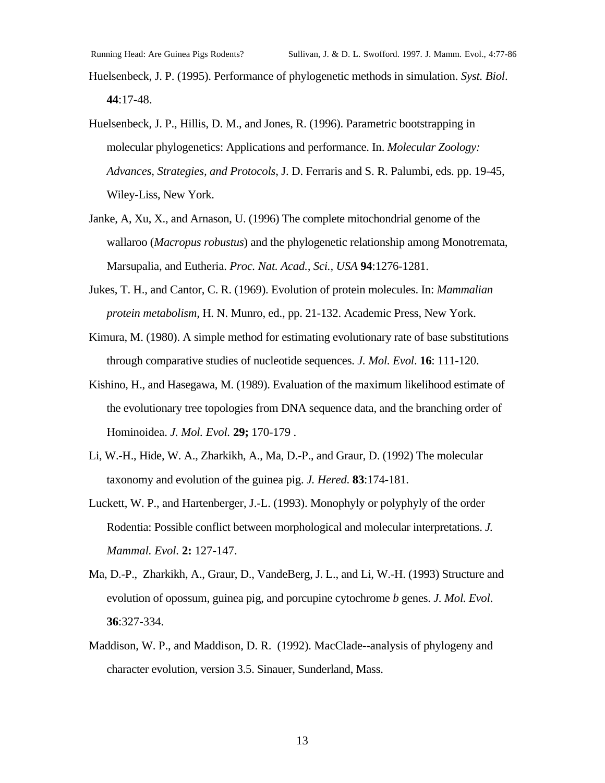Huelsenbeck, J. P. (1995). Performance of phylogenetic methods in simulation. *Syst. Biol*. **44**:17-48.

- Huelsenbeck, J. P., Hillis, D. M., and Jones, R. (1996). Parametric bootstrapping in molecular phylogenetics: Applications and performance. In. *Molecular Zoology: Advances, Strategies, and Protocols*, J. D. Ferraris and S. R. Palumbi, eds. pp. 19-45, Wiley-Liss, New York.
- Janke, A, Xu, X., and Arnason, U. (1996) The complete mitochondrial genome of the wallaroo (*Macropus robustus*) and the phylogenetic relationship among Monotremata, Marsupalia, and Eutheria. *Proc. Nat. Acad., Sci., USA* **94**:1276-1281.
- Jukes, T. H., and Cantor, C. R. (1969). Evolution of protein molecules. In: *Mammalian protein metabolism,* H. N. Munro, ed., pp. 21-132. Academic Press, New York.
- Kimura, M. (1980). A simple method for estimating evolutionary rate of base substitutions through comparative studies of nucleotide sequences. *J. Mol. Evol*. **16**: 111-120.
- Kishino, H., and Hasegawa, M. (1989). Evaluation of the maximum likelihood estimate of the evolutionary tree topologies from DNA sequence data, and the branching order of Hominoidea. *J. Mol. Evol.* **29;** 170-179 .
- Li, W.-H., Hide, W. A., Zharkikh, A., Ma, D.-P., and Graur, D. (1992) The molecular taxonomy and evolution of the guinea pig. *J. Hered*. **83**:174-181.
- Luckett, W. P., and Hartenberger, J.-L. (1993). Monophyly or polyphyly of the order Rodentia: Possible conflict between morphological and molecular interpretations. *J. Mammal. Evol.* **2:** 127-147.
- Ma, D.-P., Zharkikh, A., Graur, D., VandeBerg, J. L., and Li, W.-H. (1993) Structure and evolution of opossum, guinea pig, and porcupine cytochrome *b* genes. *J. Mol. Evol*. **36**:327-334.
- Maddison, W. P., and Maddison, D. R. (1992). MacClade--analysis of phylogeny and character evolution, version 3.5. Sinauer, Sunderland, Mass.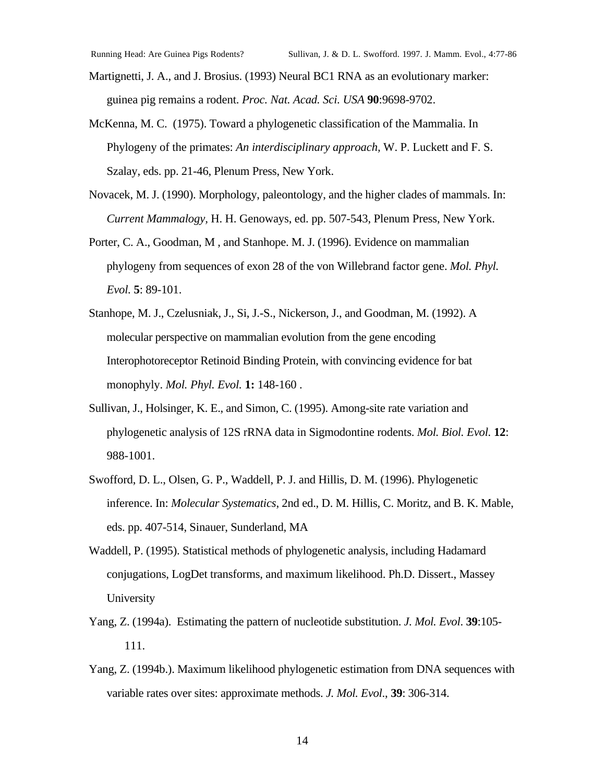Martignetti, J. A., and J. Brosius. (1993) Neural BC1 RNA as an evolutionary marker: guinea pig remains a rodent. *Proc. Nat. Acad. Sci. USA* **90**:9698-9702.

- McKenna, M. C. (1975). Toward a phylogenetic classification of the Mammalia. In Phylogeny of the primates: *An interdisciplinary approach,* W. P. Luckett and F. S. Szalay, eds. pp. 21-46, Plenum Press, New York.
- Novacek, M. J. (1990). Morphology, paleontology, and the higher clades of mammals. In: *Current Mammalogy,* H. H. Genoways, ed. pp. 507-543, Plenum Press, New York.
- Porter, C. A., Goodman, M , and Stanhope. M. J. (1996). Evidence on mammalian phylogeny from sequences of exon 28 of the von Willebrand factor gene. *Mol. Phyl. Evol.* **5**: 89-101.
- Stanhope, M. J., Czelusniak, J., Si, J.-S., Nickerson, J., and Goodman, M. (1992). A molecular perspective on mammalian evolution from the gene encoding Interophotoreceptor Retinoid Binding Protein, with convincing evidence for bat monophyly. *Mol. Phyl. Evol.* **1:** 148-160 .
- Sullivan, J., Holsinger, K. E., and Simon, C. (1995). Among-site rate variation and phylogenetic analysis of 12S rRNA data in Sigmodontine rodents. *Mol. Biol. Evol.* **12**: 988-1001.
- Swofford, D. L., Olsen, G. P., Waddell, P. J. and Hillis, D. M. (1996). Phylogenetic inference. In: *Molecular Systematics*, 2nd ed., D. M. Hillis, C. Moritz, and B. K. Mable, eds. pp. 407-514, Sinauer, Sunderland, MA
- Waddell, P. (1995). Statistical methods of phylogenetic analysis, including Hadamard conjugations, LogDet transforms, and maximum likelihood. Ph.D. Dissert., Massey University
- Yang, Z. (1994a). Estimating the pattern of nucleotide substitution. *J. Mol. Evol*. **39**:105- 111.
- Yang, Z. (1994b.). Maximum likelihood phylogenetic estimation from DNA sequences with variable rates over sites: approximate methods. *J. Mol. Evol*., **39**: 306-314.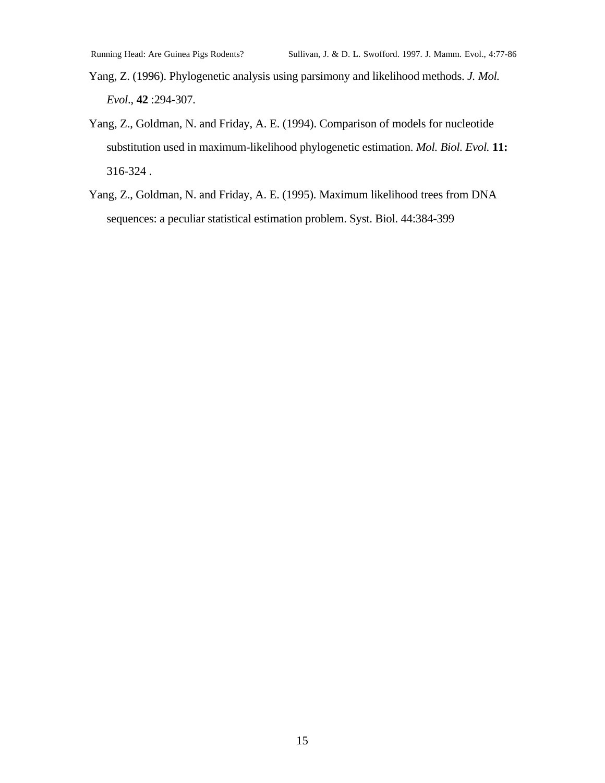Yang, Z. (1996). Phylogenetic analysis using parsimony and likelihood methods. *J. Mol. Evol*., **42** :294-307.

- Yang, Z., Goldman, N. and Friday, A. E. (1994). Comparison of models for nucleotide substitution used in maximum-likelihood phylogenetic estimation. *Mol. Biol. Evol.* **11:** 316-324 .
- Yang, Z., Goldman, N. and Friday, A. E. (1995). Maximum likelihood trees from DNA sequences: a peculiar statistical estimation problem. Syst. Biol. 44:384-399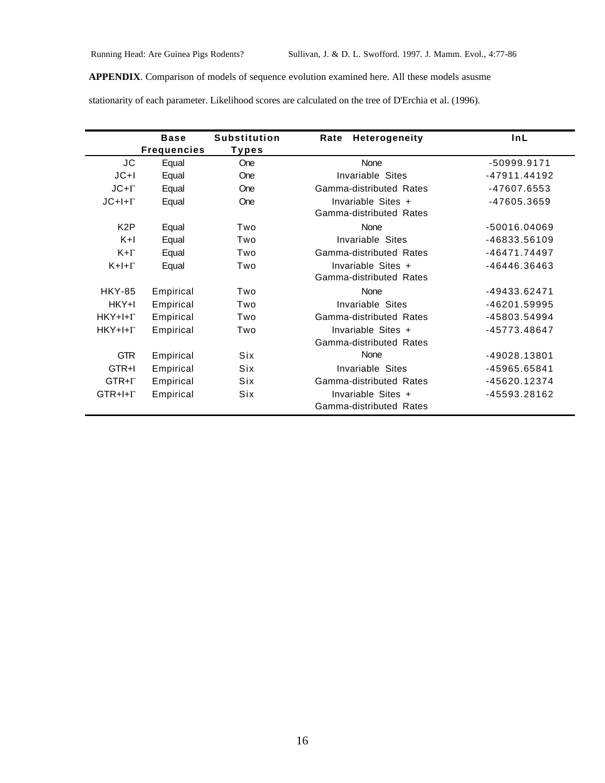**APPENDIX**. Comparison of models of sequence evolution examined here. All these models asusme

stationarity of each parameter. Likelihood scores are calculated on the tree of D'Erchia et al. (1996).

|                  | <b>Base</b>        | <b>Substitution</b> | <b>Heterogeneity</b><br>Rate | InL            |
|------------------|--------------------|---------------------|------------------------------|----------------|
|                  | <b>Frequencies</b> | Types               |                              |                |
| JC               | Equal              | One                 | None                         | -50999.9171    |
| $JC+I$           | Equal              | One                 | Invariable Sites             | $-47911.44192$ |
| $JC+Γ$           | Equal              | One                 | Gamma-distributed Rates      | -47607.6553    |
| $JC+I+ \Gamma$   | Equal              | One                 | Invariable Sites +           | -47605.3659    |
|                  |                    |                     | Gamma-distributed Rates      |                |
| K <sub>2</sub> P | Equal              | Two                 | None                         | -50016.04069   |
| $K+1$            | Equal              | Two                 | Invariable Sites             | -46833.56109   |
| $K + \Gamma$     | Equal              | Two                 | Gamma-distributed Rates      | -46471.74497   |
| $K+I+\Gamma$     | Equal              | Two                 | Invariable Sites +           | -46446.36463   |
|                  |                    |                     | Gamma-distributed Rates      |                |
| <b>HKY-85</b>    | Empirical          | Two                 | None                         | -49433.62471   |
| HKY+I            | Empirical          | Two                 | Invariable Sites             | -46201.59995   |
| $HKY+I+ \Gamma$  | Empirical          | Two                 | Gamma-distributed Rates      | -45803.54994   |
| $HKY+I+ \Gamma$  | Empirical          | Two                 | Invariable Sites +           | -45773.48647   |
|                  |                    |                     | Gamma-distributed Rates      |                |
| <b>GTR</b>       | Empirical          | <b>Six</b>          | None                         | -49028.13801   |
| GTR+I            | Empirical          | Six                 | Invariable Sites             | -45965.65841   |
| $GTR + \Gamma$   | Empirical          | <b>Six</b>          | Gamma-distributed Rates      | -45620.12374   |
| $GTR+H+\Gamma$   | Empirical          | Six                 | Invariable Sites +           | -45593.28162   |
|                  |                    |                     | Gamma-distributed Rates      |                |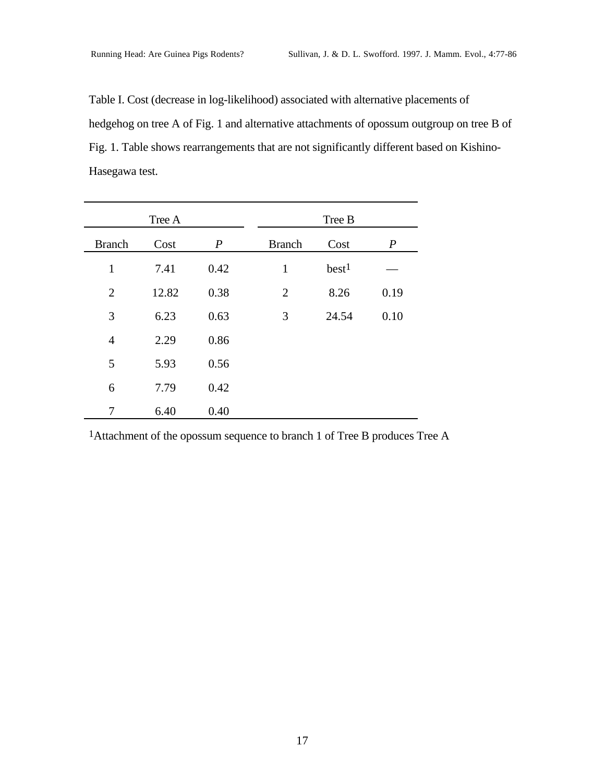Table I. Cost (decrease in log-likelihood) associated with alternative placements of hedgehog on tree A of Fig. 1 and alternative attachments of opossum outgroup on tree B of Fig. 1. Table shows rearrangements that are not significantly different based on Kishino-Hasegawa test.

| Tree A         |       |                  | Tree B         |                   |                  |
|----------------|-------|------------------|----------------|-------------------|------------------|
| <b>Branch</b>  | Cost  | $\boldsymbol{P}$ | <b>Branch</b>  | Cost              | $\boldsymbol{P}$ |
| $\mathbf{1}$   | 7.41  | 0.42             | $\mathbf{1}$   | best <sup>1</sup> |                  |
| $\overline{2}$ | 12.82 | 0.38             | $\overline{2}$ | 8.26              | 0.19             |
| 3              | 6.23  | 0.63             | 3              | 24.54             | 0.10             |
| $\overline{4}$ | 2.29  | 0.86             |                |                   |                  |
| 5              | 5.93  | 0.56             |                |                   |                  |
| 6              | 7.79  | 0.42             |                |                   |                  |
| 7              | 6.40  | 0.40             |                |                   |                  |

1Attachment of the opossum sequence to branch 1 of Tree B produces Tree A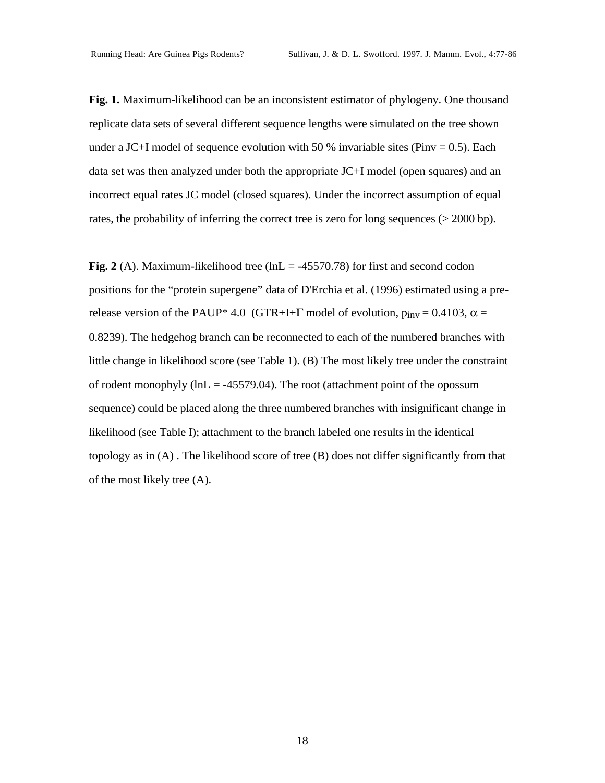**Fig. 1.** Maximum-likelihood can be an inconsistent estimator of phylogeny. One thousand replicate data sets of several different sequence lengths were simulated on the tree shown under a JC+I model of sequence evolution with 50 % invariable sites (Pinv =  $0.5$ ). Each data set was then analyzed under both the appropriate JC+I model (open squares) and an incorrect equal rates JC model (closed squares). Under the incorrect assumption of equal rates, the probability of inferring the correct tree is zero for long sequences ( $> 2000$  bp).

**Fig. 2** (A). Maximum-likelihood tree ( $ln L = -45570.78$ ) for first and second codon positions for the "protein supergene" data of D'Erchia et al. (1996) estimated using a prerelease version of the PAUP\* 4.0 (GTR+I+Γ model of evolution,  $p_{inv} = 0.4103$ ,  $\alpha =$ 0.8239). The hedgehog branch can be reconnected to each of the numbered branches with little change in likelihood score (see Table 1). (B) The most likely tree under the constraint of rodent monophyly ( $ln L = -45579.04$ ). The root (attachment point of the opossum sequence) could be placed along the three numbered branches with insignificant change in likelihood (see Table I); attachment to the branch labeled one results in the identical topology as in (A) . The likelihood score of tree (B) does not differ significantly from that of the most likely tree (A).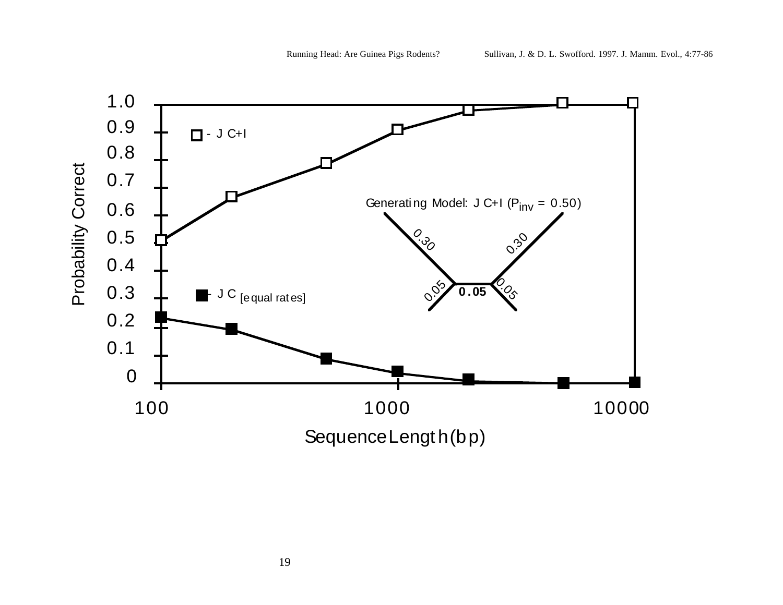